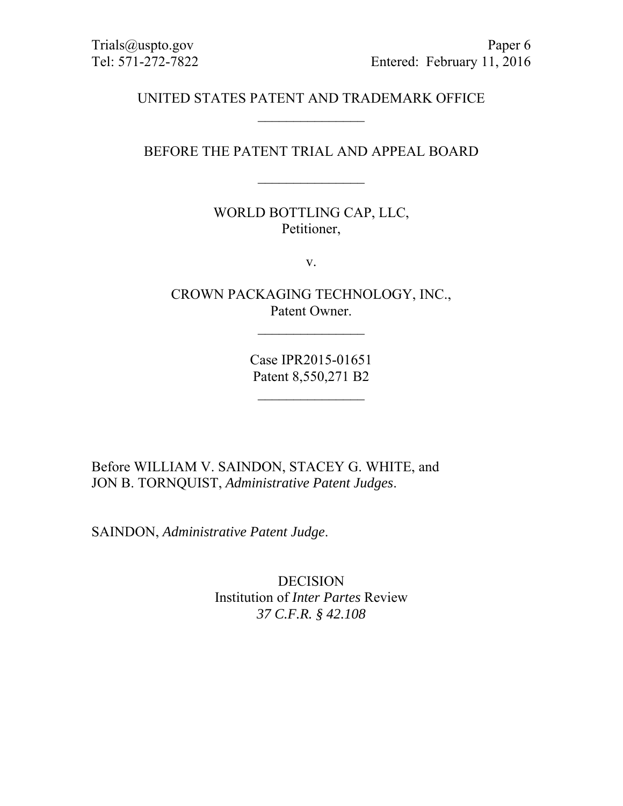### UNITED STATES PATENT AND TRADEMARK OFFICE  $\frac{1}{2}$

## BEFORE THE PATENT TRIAL AND APPEAL BOARD

## WORLD BOTTLING CAP, LLC, Petitioner,

v.

CROWN PACKAGING TECHNOLOGY, INC., Patent Owner.

 $\frac{1}{2}$ 

Case IPR2015-01651 Patent 8,550,271 B2

Before WILLIAM V. SAINDON, STACEY G. WHITE, and JON B. TORNQUIST, *Administrative Patent Judges*.

SAINDON, *Administrative Patent Judge*.

DECISION Institution of *Inter Partes* Review *37 C.F.R. § 42.108*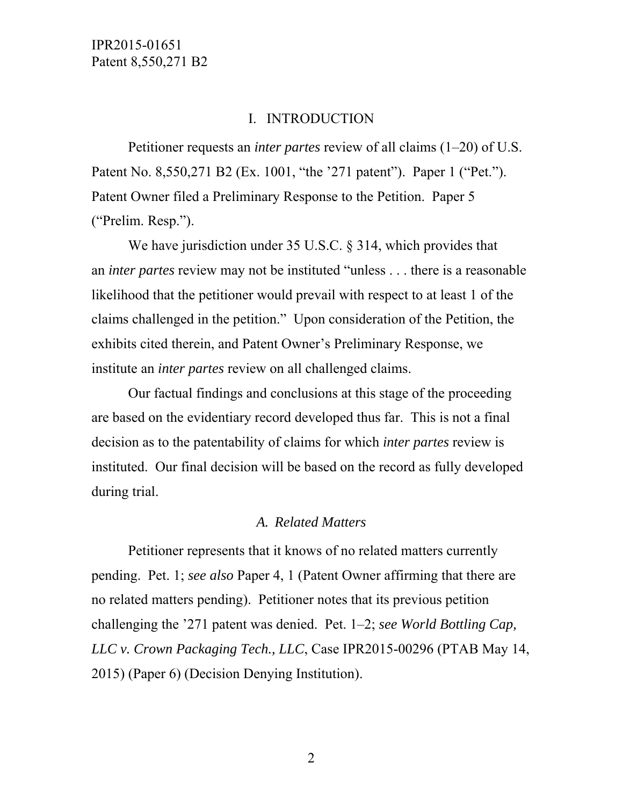### I. INTRODUCTION

Petitioner requests an *inter partes* review of all claims (1–20) of U.S. Patent No. 8,550,271 B2 (Ex. 1001, "the '271 patent"). Paper 1 ("Pet."). Patent Owner filed a Preliminary Response to the Petition. Paper 5 ("Prelim. Resp.").

We have jurisdiction under 35 U.S.C. § 314, which provides that an *inter partes* review may not be instituted "unless . . . there is a reasonable likelihood that the petitioner would prevail with respect to at least 1 of the claims challenged in the petition." Upon consideration of the Petition, the exhibits cited therein, and Patent Owner's Preliminary Response, we institute an *inter partes* review on all challenged claims.

Our factual findings and conclusions at this stage of the proceeding are based on the evidentiary record developed thus far. This is not a final decision as to the patentability of claims for which *inter partes* review is instituted. Our final decision will be based on the record as fully developed during trial.

#### *A. Related Matters*

Petitioner represents that it knows of no related matters currently pending. Pet. 1; *see also* Paper 4, 1 (Patent Owner affirming that there are no related matters pending). Petitioner notes that its previous petition challenging the '271 patent was denied. Pet. 1–2; *see World Bottling Cap, LLC v. Crown Packaging Tech., LLC*, Case IPR2015-00296 (PTAB May 14, 2015) (Paper 6) (Decision Denying Institution).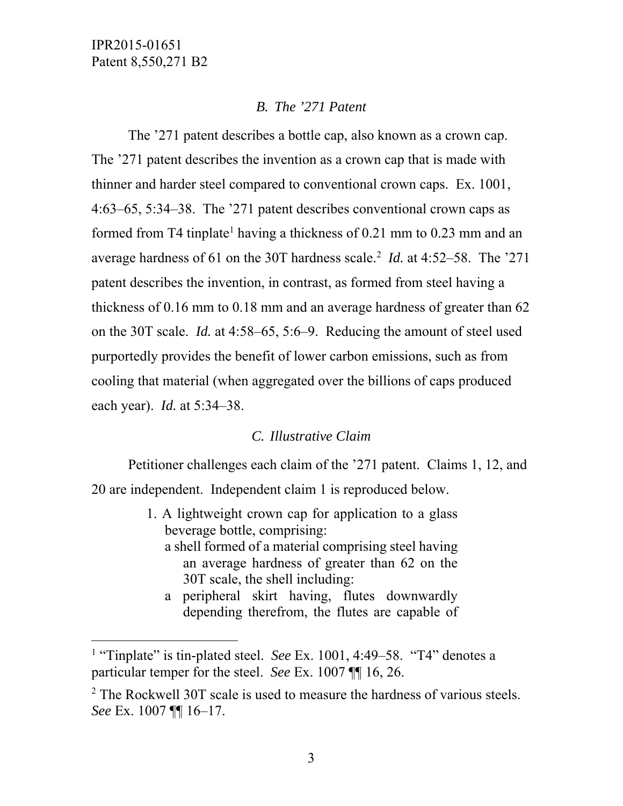-

## *B. The '271 Patent*

 The '271 patent describes a bottle cap, also known as a crown cap. The '271 patent describes the invention as a crown cap that is made with thinner and harder steel compared to conventional crown caps. Ex. 1001, 4:63–65, 5:34–38. The '271 patent describes conventional crown caps as formed from T4 tinplate<sup>1</sup> having a thickness of  $0.21$  mm to  $0.23$  mm and an average hardness of 61 on the 30T hardness scale.<sup>2</sup> *Id.* at 4:52–58. The '271 patent describes the invention, in contrast, as formed from steel having a thickness of 0.16 mm to 0.18 mm and an average hardness of greater than 62 on the 30T scale. *Id.* at 4:58–65, 5:6–9. Reducing the amount of steel used purportedly provides the benefit of lower carbon emissions, such as from cooling that material (when aggregated over the billions of caps produced each year). *Id.* at 5:34–38.

## *C. Illustrative Claim*

Petitioner challenges each claim of the '271 patent. Claims 1, 12, and 20 are independent. Independent claim 1 is reproduced below.

- 1. A lightweight crown cap for application to a glass beverage bottle, comprising: a shell formed of a material comprising steel having an average hardness of greater than 62 on the 30T scale, the shell including:
	- a peripheral skirt having, flutes downwardly depending therefrom, the flutes are capable of

<sup>&</sup>lt;sup>1</sup> "Tinplate" is tin-plated steel. *See* Ex. 1001, 4:49–58. "T4" denotes a particular temper for the steel. *See* Ex. 1007 ¶¶ 16, 26.

<sup>&</sup>lt;sup>2</sup> The Rockwell 30T scale is used to measure the hardness of various steels. *See* Ex. 1007 ¶¶ 16–17.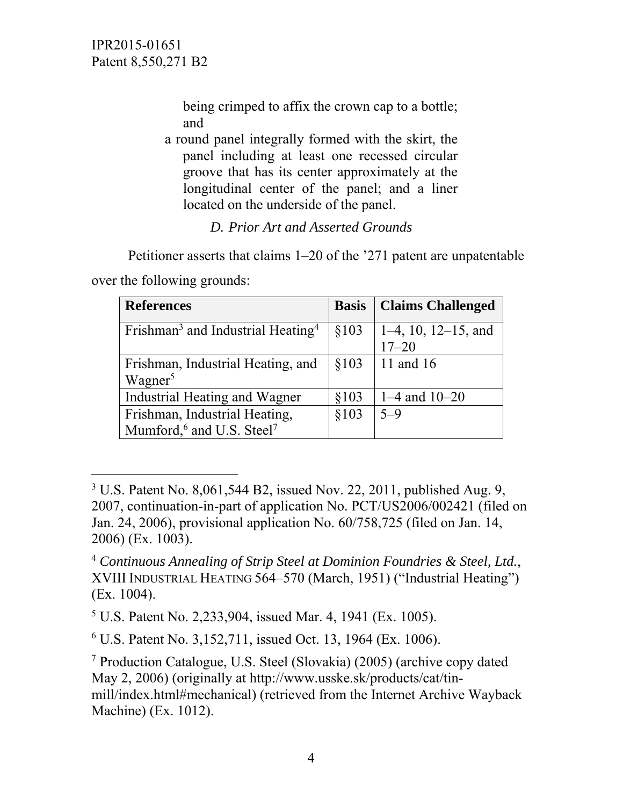> being crimped to affix the crown cap to a bottle; and

a round panel integrally formed with the skirt, the panel including at least one recessed circular groove that has its center approximately at the longitudinal center of the panel; and a liner located on the underside of the panel.

# *D. Prior Art and Asserted Grounds*

Petitioner asserts that claims 1–20 of the '271 patent are unpatentable

over the following grounds:

l

| <b>References</b>                                         |       | <b>Basis   Claims Challenged</b> |
|-----------------------------------------------------------|-------|----------------------------------|
| Frishman <sup>3</sup> and Industrial Heating <sup>4</sup> | \$103 | $1-4$ , 10, 12–15, and           |
|                                                           |       | $17 - 20$                        |
| Frishman, Industrial Heating, and                         | \$103 | 11 and 16                        |
| Wagner <sup>5</sup>                                       |       |                                  |
| Industrial Heating and Wagner                             | \$103 | $1-4$ and $10-20$                |
| Frishman, Industrial Heating,                             | \$103 | $5 - 9$                          |
| Mumford, <sup>6</sup> and U.S. Steel <sup>7</sup>         |       |                                  |

<sup>&</sup>lt;sup>3</sup> U.S. Patent No. 8,061,544 B2, issued Nov. 22, 2011, published Aug. 9, 2007, continuation-in-part of application No. PCT/US2006/002421 (filed on Jan. 24, 2006), provisional application No. 60/758,725 (filed on Jan. 14, 2006) (Ex. 1003).

<sup>4</sup> *Continuous Annealing of Strip Steel at Dominion Foundries & Steel, Ltd.*, XVIII INDUSTRIAL HEATING 564–570 (March, 1951) ("Industrial Heating") (Ex. 1004).

<sup>5</sup> U.S. Patent No. 2,233,904, issued Mar. 4, 1941 (Ex. 1005).

<sup>6</sup> U.S. Patent No. 3,152,711, issued Oct. 13, 1964 (Ex. 1006).

<sup>7</sup> Production Catalogue, U.S. Steel (Slovakia) (2005) (archive copy dated May 2, 2006) (originally at http://www.usske.sk/products/cat/tinmill/index.html#mechanical) (retrieved from the Internet Archive Wayback Machine) (Ex. 1012).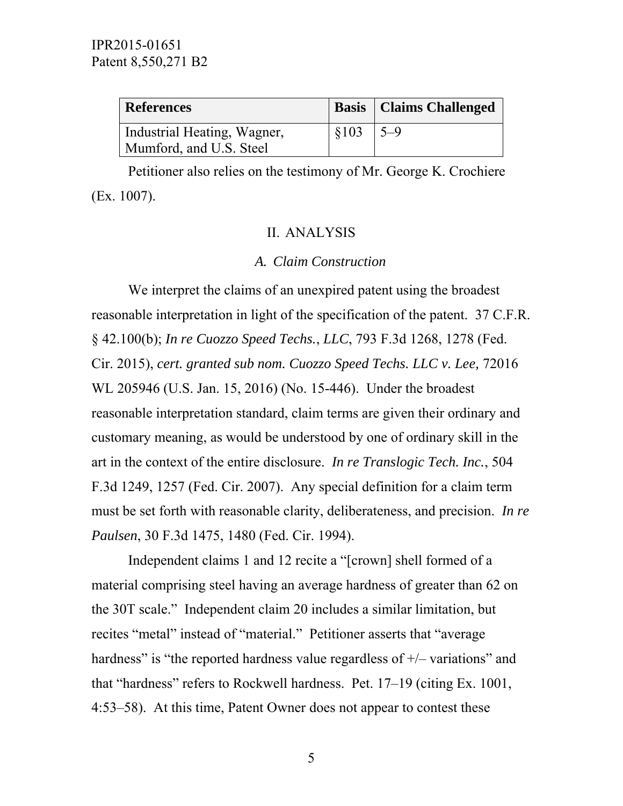| <b>References</b>           |                     | <b>Basis</b>   Claims Challenged |
|-----------------------------|---------------------|----------------------------------|
| Industrial Heating, Wagner, | $\frac{1}{2}$ \$103 | $ 5-9 $                          |
| Mumford, and U.S. Steel     |                     |                                  |

Petitioner also relies on the testimony of Mr. George K. Crochiere (Ex. 1007).

#### II. ANALYSIS

#### *A. Claim Construction*

We interpret the claims of an unexpired patent using the broadest reasonable interpretation in light of the specification of the patent. 37 C.F.R. § 42.100(b); *In re Cuozzo Speed Techs.*, *LLC*, 793 F.3d 1268, 1278 (Fed. Cir. 2015), *cert. granted sub nom. Cuozzo Speed Techs. LLC v. Lee,* 72016 WL 205946 (U.S. Jan. 15, 2016) (No. 15-446). Under the broadest reasonable interpretation standard, claim terms are given their ordinary and customary meaning, as would be understood by one of ordinary skill in the art in the context of the entire disclosure. *In re Translogic Tech. Inc.*, 504 F.3d 1249, 1257 (Fed. Cir. 2007). Any special definition for a claim term must be set forth with reasonable clarity, deliberateness, and precision. *In re Paulsen*, 30 F.3d 1475, 1480 (Fed. Cir. 1994).

Independent claims 1 and 12 recite a "[crown] shell formed of a material comprising steel having an average hardness of greater than 62 on the 30T scale." Independent claim 20 includes a similar limitation, but recites "metal" instead of "material." Petitioner asserts that "average hardness" is "the reported hardness value regardless of  $+/-$  variations" and that "hardness" refers to Rockwell hardness. Pet. 17–19 (citing Ex. 1001, 4:53–58). At this time, Patent Owner does not appear to contest these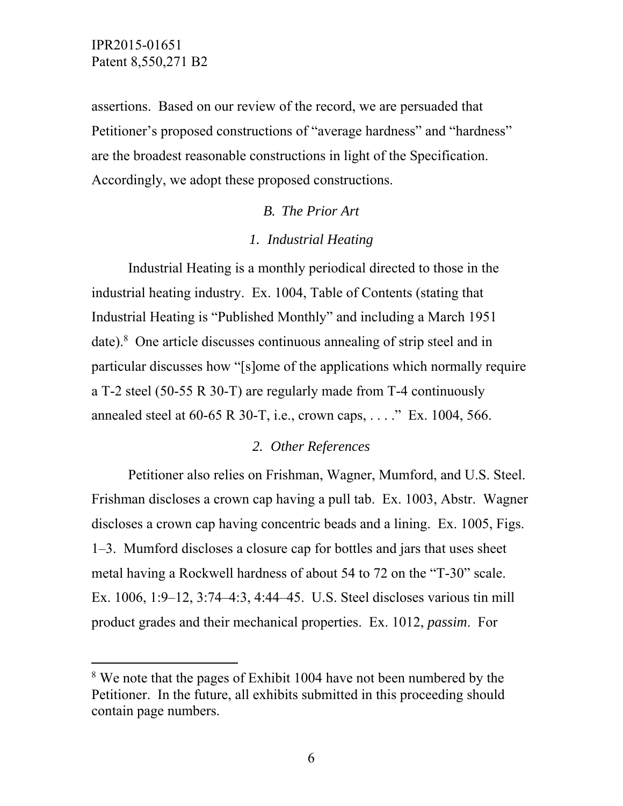$\overline{a}$ 

assertions. Based on our review of the record, we are persuaded that Petitioner's proposed constructions of "average hardness" and "hardness" are the broadest reasonable constructions in light of the Specification. Accordingly, we adopt these proposed constructions.

### *B. The Prior Art*

#### *1. Industrial Heating*

 Industrial Heating is a monthly periodical directed to those in the industrial heating industry. Ex. 1004, Table of Contents (stating that Industrial Heating is "Published Monthly" and including a March 1951 date).<sup>8</sup> One article discusses continuous annealing of strip steel and in particular discusses how "[s]ome of the applications which normally require a T-2 steel (50-55 R 30-T) are regularly made from T-4 continuously annealed steel at 60-65 R 30-T, i.e., crown caps, . . . ." Ex. 1004, 566.

# *2. Other References*

 Petitioner also relies on Frishman, Wagner, Mumford, and U.S. Steel. Frishman discloses a crown cap having a pull tab. Ex. 1003, Abstr. Wagner discloses a crown cap having concentric beads and a lining. Ex. 1005, Figs. 1–3. Mumford discloses a closure cap for bottles and jars that uses sheet metal having a Rockwell hardness of about 54 to 72 on the "T-30" scale. Ex. 1006, 1:9–12, 3:74–4:3, 4:44–45. U.S. Steel discloses various tin mill product grades and their mechanical properties. Ex. 1012, *passim*. For

<sup>&</sup>lt;sup>8</sup> We note that the pages of Exhibit 1004 have not been numbered by the Petitioner. In the future, all exhibits submitted in this proceeding should contain page numbers.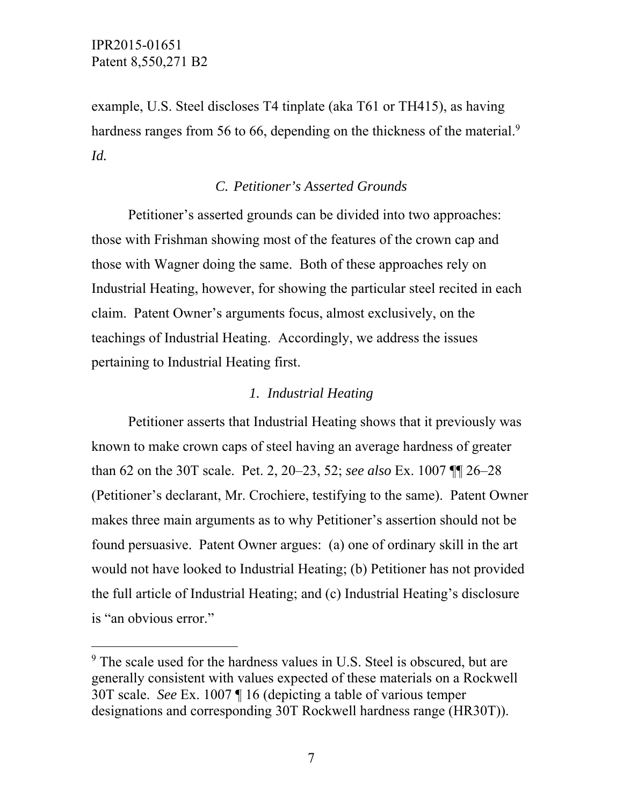$\overline{a}$ 

example, U.S. Steel discloses T4 tinplate (aka T61 or TH415), as having hardness ranges from 56 to 66, depending on the thickness of the material.<sup>9</sup> *Id.* 

### *C. Petitioner's Asserted Grounds*

Petitioner's asserted grounds can be divided into two approaches: those with Frishman showing most of the features of the crown cap and those with Wagner doing the same. Both of these approaches rely on Industrial Heating, however, for showing the particular steel recited in each claim. Patent Owner's arguments focus, almost exclusively, on the teachings of Industrial Heating. Accordingly, we address the issues pertaining to Industrial Heating first.

### *1. Industrial Heating*

Petitioner asserts that Industrial Heating shows that it previously was known to make crown caps of steel having an average hardness of greater than 62 on the 30T scale. Pet. 2, 20–23, 52; *see also* Ex. 1007 ¶¶ 26–28 (Petitioner's declarant, Mr. Crochiere, testifying to the same). Patent Owner makes three main arguments as to why Petitioner's assertion should not be found persuasive. Patent Owner argues: (a) one of ordinary skill in the art would not have looked to Industrial Heating; (b) Petitioner has not provided the full article of Industrial Heating; and (c) Industrial Heating's disclosure is "an obvious error."

<sup>&</sup>lt;sup>9</sup> The scale used for the hardness values in U.S. Steel is obscured, but are generally consistent with values expected of these materials on a Rockwell 30T scale. *See* Ex. 1007 ¶ 16 (depicting a table of various temper designations and corresponding 30T Rockwell hardness range (HR30T)).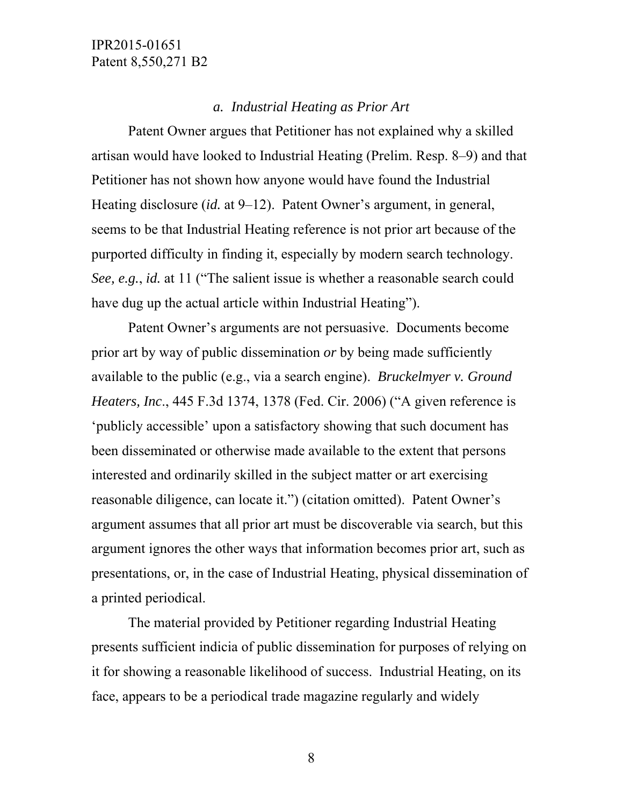#### *a. Industrial Heating as Prior Art*

Patent Owner argues that Petitioner has not explained why a skilled artisan would have looked to Industrial Heating (Prelim. Resp. 8–9) and that Petitioner has not shown how anyone would have found the Industrial Heating disclosure *(id.* at 9–12). Patent Owner's argument, in general, seems to be that Industrial Heating reference is not prior art because of the purported difficulty in finding it, especially by modern search technology. *See, e.g.*, *id.* at 11 ("The salient issue is whether a reasonable search could have dug up the actual article within Industrial Heating").

Patent Owner's arguments are not persuasive. Documents become prior art by way of public dissemination *or* by being made sufficiently available to the public (e.g., via a search engine). *Bruckelmyer v. Ground Heaters, Inc*., 445 F.3d 1374, 1378 (Fed. Cir. 2006) ("A given reference is 'publicly accessible' upon a satisfactory showing that such document has been disseminated or otherwise made available to the extent that persons interested and ordinarily skilled in the subject matter or art exercising reasonable diligence, can locate it.") (citation omitted). Patent Owner's argument assumes that all prior art must be discoverable via search, but this argument ignores the other ways that information becomes prior art, such as presentations, or, in the case of Industrial Heating, physical dissemination of a printed periodical.

The material provided by Petitioner regarding Industrial Heating presents sufficient indicia of public dissemination for purposes of relying on it for showing a reasonable likelihood of success. Industrial Heating, on its face, appears to be a periodical trade magazine regularly and widely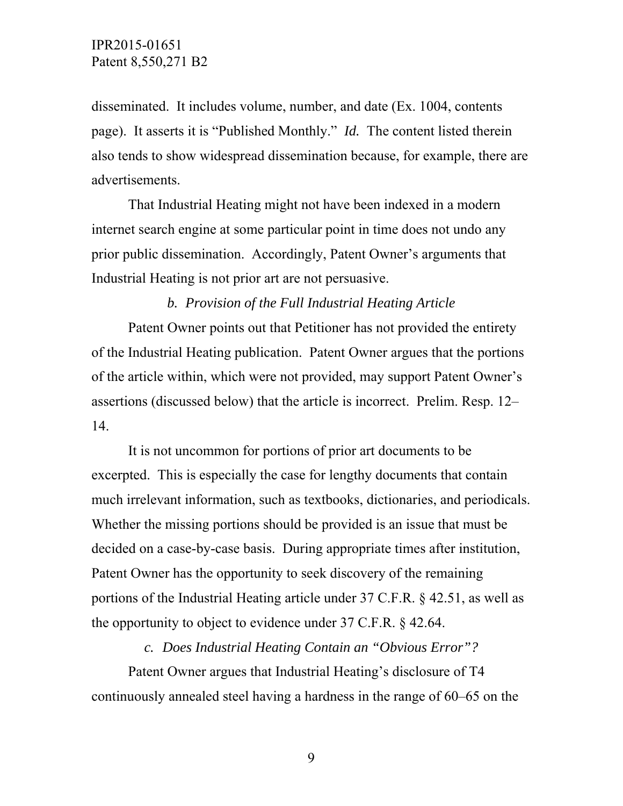disseminated. It includes volume, number, and date (Ex. 1004, contents page). It asserts it is "Published Monthly." *Id.* The content listed therein also tends to show widespread dissemination because, for example, there are advertisements.

That Industrial Heating might not have been indexed in a modern internet search engine at some particular point in time does not undo any prior public dissemination. Accordingly, Patent Owner's arguments that Industrial Heating is not prior art are not persuasive.

#### *b. Provision of the Full Industrial Heating Article*

 Patent Owner points out that Petitioner has not provided the entirety of the Industrial Heating publication. Patent Owner argues that the portions of the article within, which were not provided, may support Patent Owner's assertions (discussed below) that the article is incorrect. Prelim. Resp. 12– 14.

It is not uncommon for portions of prior art documents to be excerpted. This is especially the case for lengthy documents that contain much irrelevant information, such as textbooks, dictionaries, and periodicals. Whether the missing portions should be provided is an issue that must be decided on a case-by-case basis. During appropriate times after institution, Patent Owner has the opportunity to seek discovery of the remaining portions of the Industrial Heating article under 37 C.F.R. § 42.51, as well as the opportunity to object to evidence under 37 C.F.R. § 42.64.

*c. Does Industrial Heating Contain an "Obvious Error"?* 

Patent Owner argues that Industrial Heating's disclosure of T4 continuously annealed steel having a hardness in the range of 60–65 on the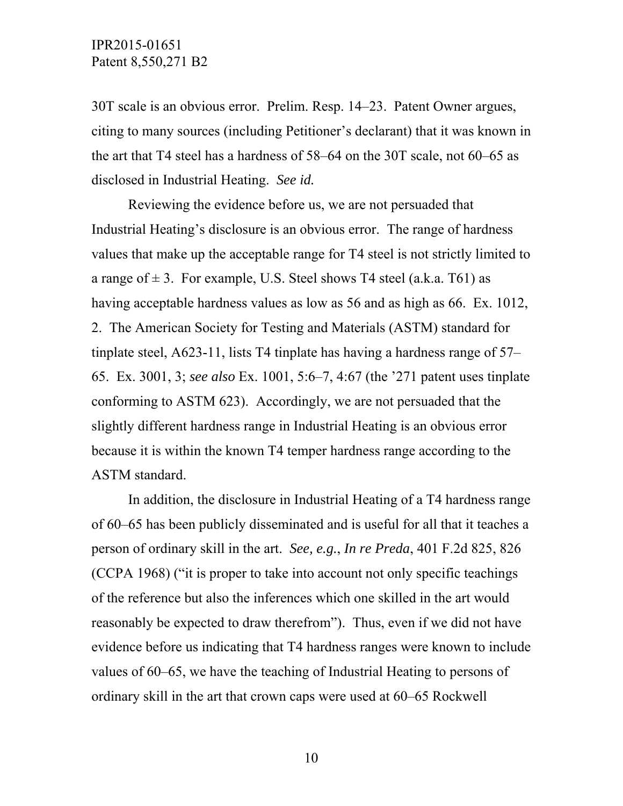30T scale is an obvious error. Prelim. Resp. 14–23. Patent Owner argues, citing to many sources (including Petitioner's declarant) that it was known in the art that T4 steel has a hardness of 58–64 on the 30T scale, not 60–65 as disclosed in Industrial Heating. *See id.*

Reviewing the evidence before us, we are not persuaded that Industrial Heating's disclosure is an obvious error. The range of hardness values that make up the acceptable range for T4 steel is not strictly limited to a range of  $\pm$  3. For example, U.S. Steel shows T4 steel (a.k.a. T61) as having acceptable hardness values as low as 56 and as high as 66. Ex. 1012, 2. The American Society for Testing and Materials (ASTM) standard for tinplate steel, A623-11, lists T4 tinplate has having a hardness range of 57– 65. Ex. 3001, 3; *see also* Ex. 1001, 5:6–7, 4:67 (the '271 patent uses tinplate conforming to ASTM 623). Accordingly, we are not persuaded that the slightly different hardness range in Industrial Heating is an obvious error because it is within the known T4 temper hardness range according to the ASTM standard.

In addition, the disclosure in Industrial Heating of a T4 hardness range of 60–65 has been publicly disseminated and is useful for all that it teaches a person of ordinary skill in the art. *See, e.g.*, *In re Preda*, 401 F.2d 825, 826 (CCPA 1968) ("it is proper to take into account not only specific teachings of the reference but also the inferences which one skilled in the art would reasonably be expected to draw therefrom"). Thus, even if we did not have evidence before us indicating that T4 hardness ranges were known to include values of 60–65, we have the teaching of Industrial Heating to persons of ordinary skill in the art that crown caps were used at 60–65 Rockwell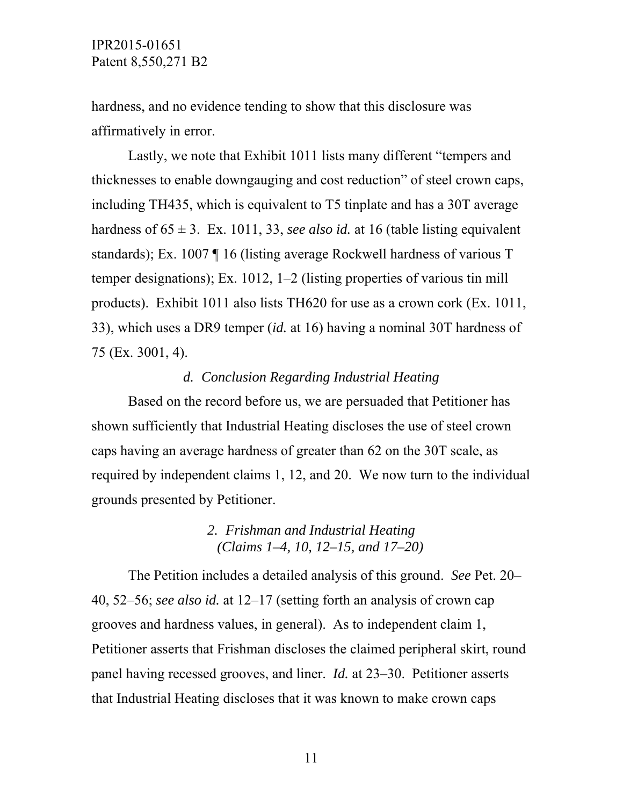hardness, and no evidence tending to show that this disclosure was affirmatively in error.

Lastly, we note that Exhibit 1011 lists many different "tempers and thicknesses to enable downgauging and cost reduction" of steel crown caps, including TH435, which is equivalent to T5 tinplate and has a 30T average hardness of  $65 \pm 3$ . Ex. 1011, 33, *see also id.* at 16 (table listing equivalent standards); Ex. 1007 ¶ 16 (listing average Rockwell hardness of various T temper designations); Ex. 1012, 1–2 (listing properties of various tin mill products). Exhibit 1011 also lists TH620 for use as a crown cork (Ex. 1011, 33), which uses a DR9 temper (*id.* at 16) having a nominal 30T hardness of 75 (Ex. 3001, 4).

### *d. Conclusion Regarding Industrial Heating*

Based on the record before us, we are persuaded that Petitioner has shown sufficiently that Industrial Heating discloses the use of steel crown caps having an average hardness of greater than 62 on the 30T scale, as required by independent claims 1, 12, and 20. We now turn to the individual grounds presented by Petitioner.

### *2. Frishman and Industrial Heating (Claims 1–4, 10, 12–15, and 17–20)*

The Petition includes a detailed analysis of this ground. *See* Pet. 20– 40, 52–56; *see also id.* at 12–17 (setting forth an analysis of crown cap grooves and hardness values, in general). As to independent claim 1, Petitioner asserts that Frishman discloses the claimed peripheral skirt, round panel having recessed grooves, and liner. *Id.* at 23–30. Petitioner asserts that Industrial Heating discloses that it was known to make crown caps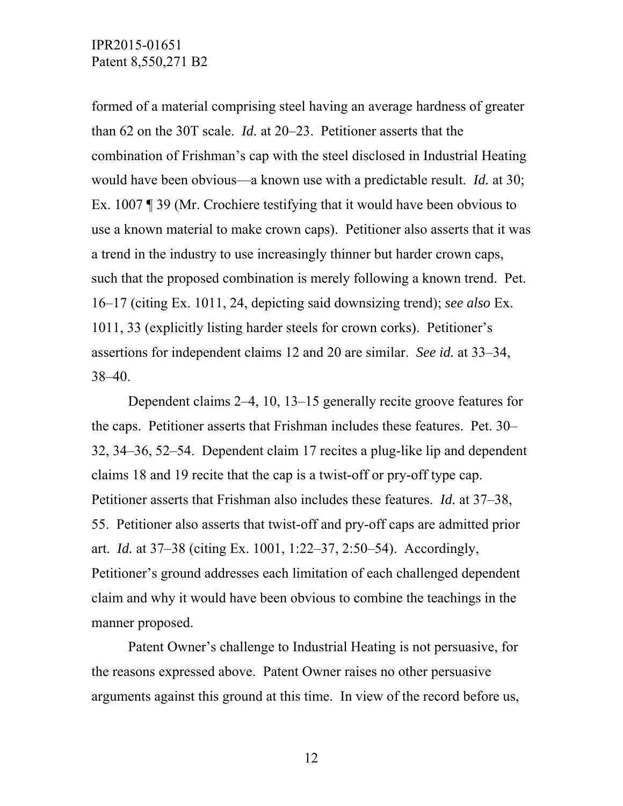formed of a material comprising steel having an average hardness of greater than 62 on the 30T scale. *Id.* at 20–23. Petitioner asserts that the combination of Frishman's cap with the steel disclosed in Industrial Heating would have been obvious—a known use with a predictable result. *Id.* at 30; Ex. 1007 ¶ 39 (Mr. Crochiere testifying that it would have been obvious to use a known material to make crown caps). Petitioner also asserts that it was a trend in the industry to use increasingly thinner but harder crown caps, such that the proposed combination is merely following a known trend. Pet. 16–17 (citing Ex. 1011, 24, depicting said downsizing trend); *see also* Ex. 1011, 33 (explicitly listing harder steels for crown corks). Petitioner's assertions for independent claims 12 and 20 are similar. *See id.* at 33–34, 38–40.

Dependent claims 2–4, 10, 13–15 generally recite groove features for the caps. Petitioner asserts that Frishman includes these features. Pet. 30– 32, 34–36, 52–54. Dependent claim 17 recites a plug-like lip and dependent claims 18 and 19 recite that the cap is a twist-off or pry-off type cap. Petitioner asserts that Frishman also includes these features. *Id.* at 37–38, 55. Petitioner also asserts that twist-off and pry-off caps are admitted prior art. *Id.* at 37–38 (citing Ex. 1001, 1:22–37, 2:50–54). Accordingly, Petitioner's ground addresses each limitation of each challenged dependent claim and why it would have been obvious to combine the teachings in the manner proposed.

Patent Owner's challenge to Industrial Heating is not persuasive, for the reasons expressed above. Patent Owner raises no other persuasive arguments against this ground at this time. In view of the record before us,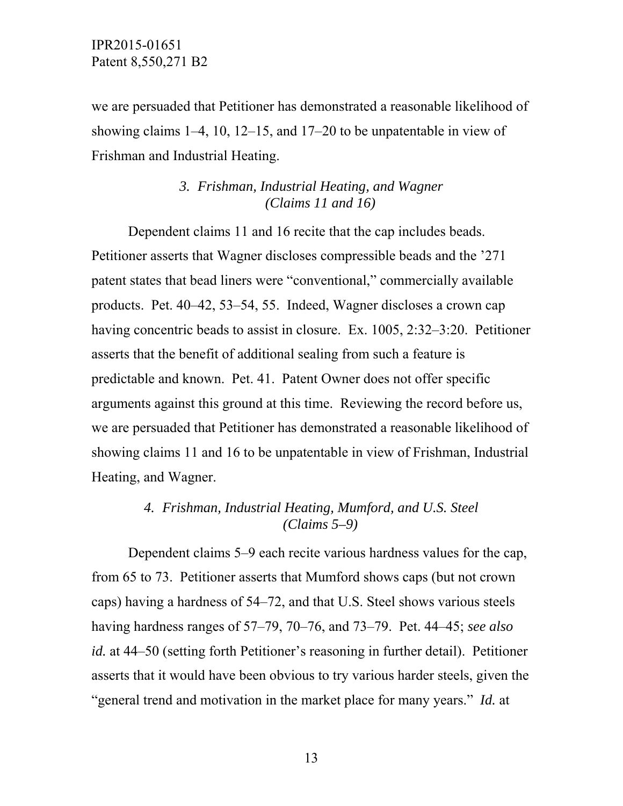we are persuaded that Petitioner has demonstrated a reasonable likelihood of showing claims 1–4, 10, 12–15, and 17–20 to be unpatentable in view of Frishman and Industrial Heating.

## *3. Frishman, Industrial Heating, and Wagner (Claims 11 and 16)*

Dependent claims 11 and 16 recite that the cap includes beads. Petitioner asserts that Wagner discloses compressible beads and the '271 patent states that bead liners were "conventional," commercially available products. Pet. 40–42, 53–54, 55. Indeed, Wagner discloses a crown cap having concentric beads to assist in closure. Ex. 1005, 2:32–3:20. Petitioner asserts that the benefit of additional sealing from such a feature is predictable and known. Pet. 41. Patent Owner does not offer specific arguments against this ground at this time. Reviewing the record before us, we are persuaded that Petitioner has demonstrated a reasonable likelihood of showing claims 11 and 16 to be unpatentable in view of Frishman, Industrial Heating, and Wagner.

## *4. Frishman, Industrial Heating, Mumford, and U.S. Steel (Claims 5–9)*

Dependent claims 5–9 each recite various hardness values for the cap, from 65 to 73. Petitioner asserts that Mumford shows caps (but not crown caps) having a hardness of 54–72, and that U.S. Steel shows various steels having hardness ranges of 57–79, 70–76, and 73–79. Pet. 44–45; *see also id.* at 44–50 (setting forth Petitioner's reasoning in further detail). Petitioner asserts that it would have been obvious to try various harder steels, given the "general trend and motivation in the market place for many years." *Id.* at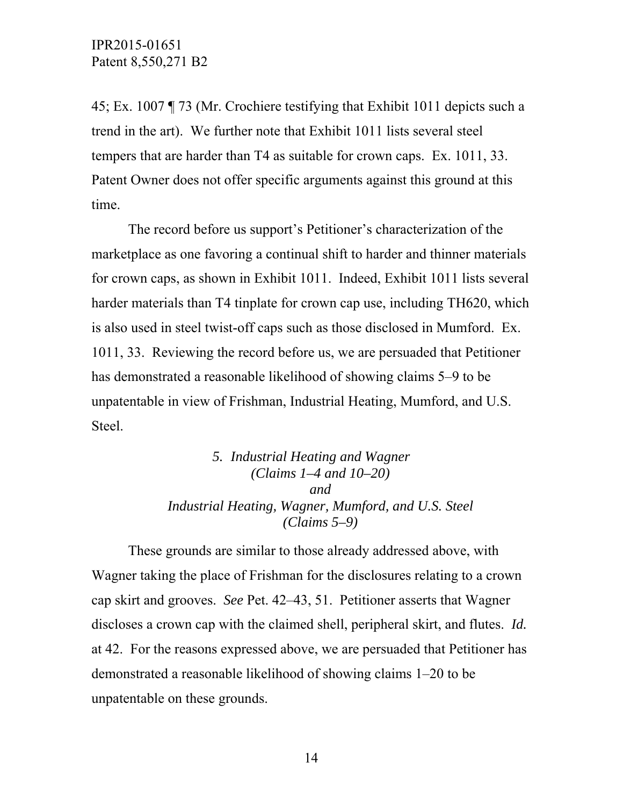45; Ex. 1007 ¶ 73 (Mr. Crochiere testifying that Exhibit 1011 depicts such a trend in the art). We further note that Exhibit 1011 lists several steel tempers that are harder than T4 as suitable for crown caps. Ex. 1011, 33. Patent Owner does not offer specific arguments against this ground at this time.

The record before us support's Petitioner's characterization of the marketplace as one favoring a continual shift to harder and thinner materials for crown caps, as shown in Exhibit 1011. Indeed, Exhibit 1011 lists several harder materials than T4 tinplate for crown cap use, including TH620, which is also used in steel twist-off caps such as those disclosed in Mumford. Ex. 1011, 33. Reviewing the record before us, we are persuaded that Petitioner has demonstrated a reasonable likelihood of showing claims 5–9 to be unpatentable in view of Frishman, Industrial Heating, Mumford, and U.S. Steel.

> *5. Industrial Heating and Wagner (Claims 1–4 and 10–20) and Industrial Heating, Wagner, Mumford, and U.S. Steel (Claims 5–9)*

These grounds are similar to those already addressed above, with Wagner taking the place of Frishman for the disclosures relating to a crown cap skirt and grooves. *See* Pet. 42–43, 51. Petitioner asserts that Wagner discloses a crown cap with the claimed shell, peripheral skirt, and flutes. *Id.* at 42. For the reasons expressed above, we are persuaded that Petitioner has demonstrated a reasonable likelihood of showing claims 1–20 to be unpatentable on these grounds.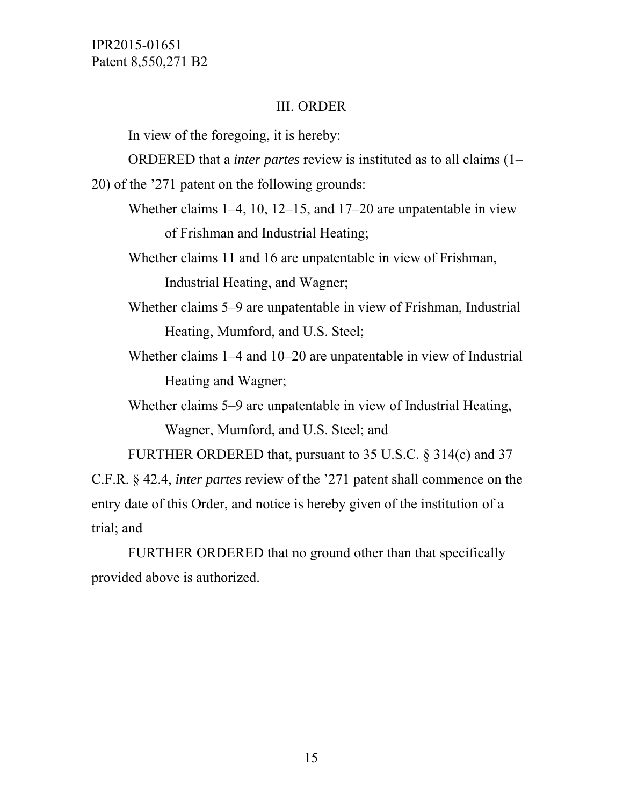#### III. ORDER

In view of the foregoing, it is hereby:

ORDERED that a *inter partes* review is instituted as to all claims (1–

20) of the '271 patent on the following grounds:

- Whether claims 1–4, 10, 12–15, and 17–20 are unpatentable in view of Frishman and Industrial Heating;
- Whether claims 11 and 16 are unpatentable in view of Frishman, Industrial Heating, and Wagner;
- Whether claims 5–9 are unpatentable in view of Frishman, Industrial Heating, Mumford, and U.S. Steel;
- Whether claims 1–4 and 10–20 are unpatentable in view of Industrial Heating and Wagner;
- Whether claims 5–9 are unpatentable in view of Industrial Heating, Wagner, Mumford, and U.S. Steel; and

FURTHER ORDERED that, pursuant to 35 U.S.C. § 314(c) and 37

C.F.R. § 42.4, *inter partes* review of the '271 patent shall commence on the entry date of this Order, and notice is hereby given of the institution of a trial; and

 FURTHER ORDERED that no ground other than that specifically provided above is authorized.